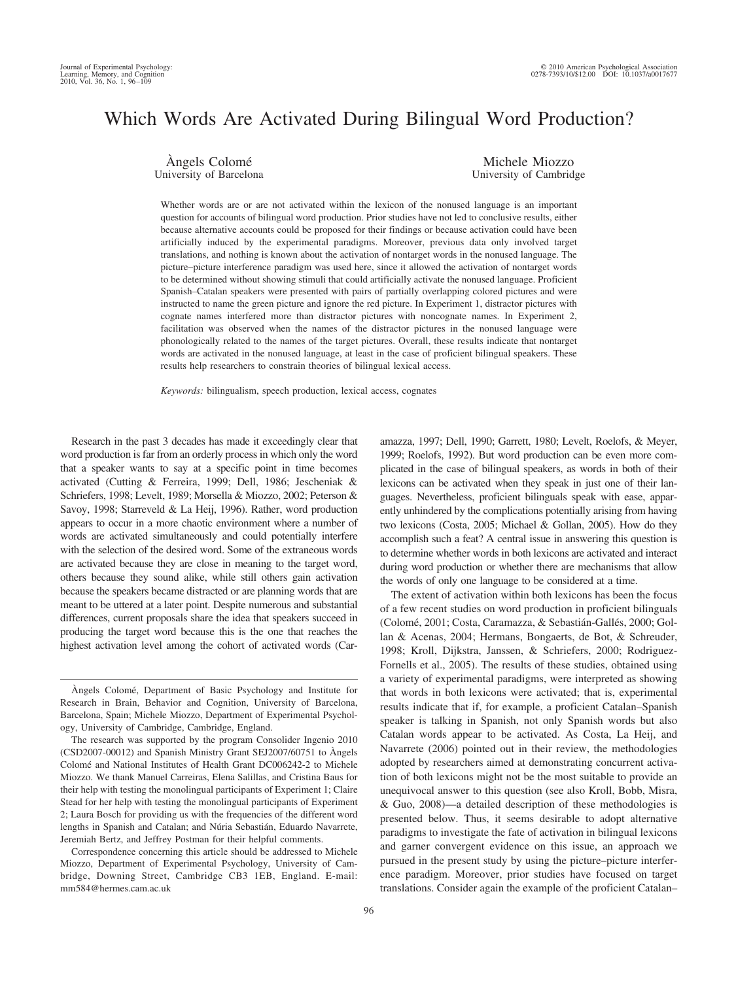# Which Words Are Activated During Bilingual Word Production?

Àngels Colomé University of Barcelona

Michele Miozzo University of Cambridge

Whether words are or are not activated within the lexicon of the nonused language is an important question for accounts of bilingual word production. Prior studies have not led to conclusive results, either because alternative accounts could be proposed for their findings or because activation could have been artificially induced by the experimental paradigms. Moreover, previous data only involved target translations, and nothing is known about the activation of nontarget words in the nonused language. The picture–picture interference paradigm was used here, since it allowed the activation of nontarget words to be determined without showing stimuli that could artificially activate the nonused language. Proficient Spanish–Catalan speakers were presented with pairs of partially overlapping colored pictures and were instructed to name the green picture and ignore the red picture. In Experiment 1, distractor pictures with cognate names interfered more than distractor pictures with noncognate names. In Experiment 2, facilitation was observed when the names of the distractor pictures in the nonused language were phonologically related to the names of the target pictures. Overall, these results indicate that nontarget words are activated in the nonused language, at least in the case of proficient bilingual speakers. These results help researchers to constrain theories of bilingual lexical access.

*Keywords:* bilingualism, speech production, lexical access, cognates

Research in the past 3 decades has made it exceedingly clear that word production is far from an orderly process in which only the word that a speaker wants to say at a specific point in time becomes activated (Cutting & Ferreira, 1999; Dell, 1986; Jescheniak & Schriefers, 1998; Levelt, 1989; Morsella & Miozzo, 2002; Peterson & Savoy, 1998; Starreveld & La Heij, 1996). Rather, word production appears to occur in a more chaotic environment where a number of words are activated simultaneously and could potentially interfere with the selection of the desired word. Some of the extraneous words are activated because they are close in meaning to the target word, others because they sound alike, while still others gain activation because the speakers became distracted or are planning words that are meant to be uttered at a later point. Despite numerous and substantial differences, current proposals share the idea that speakers succeed in producing the target word because this is the one that reaches the highest activation level among the cohort of activated words (Car-

Correspondence concerning this article should be addressed to Michele Miozzo, Department of Experimental Psychology, University of Cambridge, Downing Street, Cambridge CB3 1EB, England. E-mail: mm584@hermes.cam.ac.uk

amazza, 1997; Dell, 1990; Garrett, 1980; Levelt, Roelofs, & Meyer, 1999; Roelofs, 1992). But word production can be even more complicated in the case of bilingual speakers, as words in both of their lexicons can be activated when they speak in just one of their languages. Nevertheless, proficient bilinguals speak with ease, apparently unhindered by the complications potentially arising from having two lexicons (Costa, 2005; Michael & Gollan, 2005). How do they accomplish such a feat? A central issue in answering this question is to determine whether words in both lexicons are activated and interact during word production or whether there are mechanisms that allow the words of only one language to be considered at a time.

The extent of activation within both lexicons has been the focus of a few recent studies on word production in proficient bilinguals (Colomé, 2001; Costa, Caramazza, & Sebastián-Gallés, 2000; Gollan & Acenas, 2004; Hermans, Bongaerts, de Bot, & Schreuder, 1998; Kroll, Dijkstra, Janssen, & Schriefers, 2000; Rodriguez-Fornells et al., 2005). The results of these studies, obtained using a variety of experimental paradigms, were interpreted as showing that words in both lexicons were activated; that is, experimental results indicate that if, for example, a proficient Catalan–Spanish speaker is talking in Spanish, not only Spanish words but also Catalan words appear to be activated. As Costa, La Heij, and Navarrete (2006) pointed out in their review, the methodologies adopted by researchers aimed at demonstrating concurrent activation of both lexicons might not be the most suitable to provide an unequivocal answer to this question (see also Kroll, Bobb, Misra, & Guo, 2008)—a detailed description of these methodologies is presented below. Thus, it seems desirable to adopt alternative paradigms to investigate the fate of activation in bilingual lexicons and garner convergent evidence on this issue, an approach we pursued in the present study by using the picture–picture interference paradigm. Moreover, prior studies have focused on target translations. Consider again the example of the proficient Catalan–

Angels Colomé, Department of Basic Psychology and Institute for Research in Brain, Behavior and Cognition, University of Barcelona, Barcelona, Spain; Michele Miozzo, Department of Experimental Psychology, University of Cambridge, Cambridge, England.

The research was supported by the program Consolider Ingenio 2010  $(CSD2007-00012)$  and Spanish Ministry Grant SEJ2007/60751 to Angels Colome´ and National Institutes of Health Grant DC006242-2 to Michele Miozzo. We thank Manuel Carreiras, Elena Salillas, and Cristina Baus for their help with testing the monolingual participants of Experiment 1; Claire Stead for her help with testing the monolingual participants of Experiment 2; Laura Bosch for providing us with the frequencies of the different word lengths in Spanish and Catalan; and Núria Sebastián, Eduardo Navarrete, Jeremiah Bertz, and Jeffrey Postman for their helpful comments.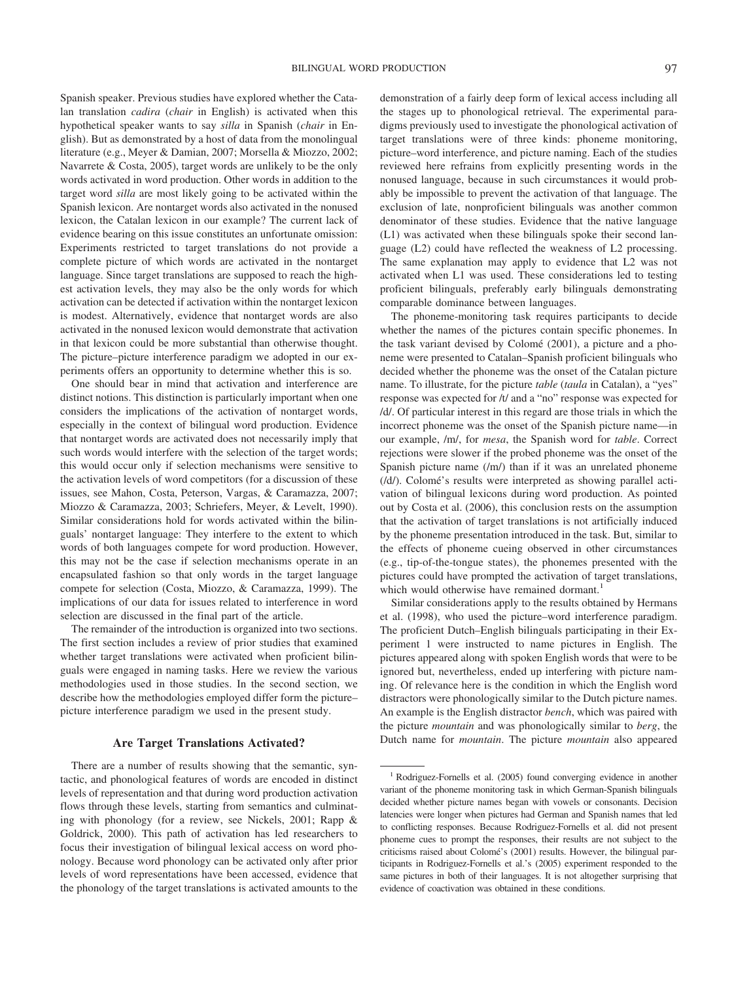Spanish speaker. Previous studies have explored whether the Catalan translation *cadira* (*chair* in English) is activated when this hypothetical speaker wants to say *silla* in Spanish (*chair* in English). But as demonstrated by a host of data from the monolingual literature (e.g., Meyer & Damian, 2007; Morsella & Miozzo, 2002; Navarrete & Costa, 2005), target words are unlikely to be the only words activated in word production. Other words in addition to the target word *silla* are most likely going to be activated within the Spanish lexicon. Are nontarget words also activated in the nonused lexicon, the Catalan lexicon in our example? The current lack of evidence bearing on this issue constitutes an unfortunate omission: Experiments restricted to target translations do not provide a complete picture of which words are activated in the nontarget language. Since target translations are supposed to reach the highest activation levels, they may also be the only words for which activation can be detected if activation within the nontarget lexicon is modest. Alternatively, evidence that nontarget words are also activated in the nonused lexicon would demonstrate that activation in that lexicon could be more substantial than otherwise thought. The picture–picture interference paradigm we adopted in our experiments offers an opportunity to determine whether this is so.

One should bear in mind that activation and interference are distinct notions. This distinction is particularly important when one considers the implications of the activation of nontarget words, especially in the context of bilingual word production. Evidence that nontarget words are activated does not necessarily imply that such words would interfere with the selection of the target words; this would occur only if selection mechanisms were sensitive to the activation levels of word competitors (for a discussion of these issues, see Mahon, Costa, Peterson, Vargas, & Caramazza, 2007; Miozzo & Caramazza, 2003; Schriefers, Meyer, & Levelt, 1990). Similar considerations hold for words activated within the bilinguals' nontarget language: They interfere to the extent to which words of both languages compete for word production. However, this may not be the case if selection mechanisms operate in an encapsulated fashion so that only words in the target language compete for selection (Costa, Miozzo, & Caramazza, 1999). The implications of our data for issues related to interference in word selection are discussed in the final part of the article.

The remainder of the introduction is organized into two sections. The first section includes a review of prior studies that examined whether target translations were activated when proficient bilinguals were engaged in naming tasks. Here we review the various methodologies used in those studies. In the second section, we describe how the methodologies employed differ form the picture– picture interference paradigm we used in the present study.

#### **Are Target Translations Activated?**

There are a number of results showing that the semantic, syntactic, and phonological features of words are encoded in distinct levels of representation and that during word production activation flows through these levels, starting from semantics and culminating with phonology (for a review, see Nickels, 2001; Rapp & Goldrick, 2000). This path of activation has led researchers to focus their investigation of bilingual lexical access on word phonology. Because word phonology can be activated only after prior levels of word representations have been accessed, evidence that the phonology of the target translations is activated amounts to the demonstration of a fairly deep form of lexical access including all the stages up to phonological retrieval. The experimental paradigms previously used to investigate the phonological activation of target translations were of three kinds: phoneme monitoring, picture–word interference, and picture naming. Each of the studies reviewed here refrains from explicitly presenting words in the nonused language, because in such circumstances it would probably be impossible to prevent the activation of that language. The exclusion of late, nonproficient bilinguals was another common denominator of these studies. Evidence that the native language (L1) was activated when these bilinguals spoke their second language (L2) could have reflected the weakness of L2 processing. The same explanation may apply to evidence that L2 was not activated when L1 was used. These considerations led to testing proficient bilinguals, preferably early bilinguals demonstrating comparable dominance between languages.

The phoneme-monitoring task requires participants to decide whether the names of the pictures contain specific phonemes. In the task variant devised by Colomé (2001), a picture and a phoneme were presented to Catalan–Spanish proficient bilinguals who decided whether the phoneme was the onset of the Catalan picture name. To illustrate, for the picture *table* (*taula* in Catalan), a "yes" response was expected for /t/ and a "no" response was expected for /d/. Of particular interest in this regard are those trials in which the incorrect phoneme was the onset of the Spanish picture name—in our example, /m/, for *mesa*, the Spanish word for *table*. Correct rejections were slower if the probed phoneme was the onset of the Spanish picture name (/m/) than if it was an unrelated phoneme (/d/). Colomé's results were interpreted as showing parallel activation of bilingual lexicons during word production. As pointed out by Costa et al. (2006), this conclusion rests on the assumption that the activation of target translations is not artificially induced by the phoneme presentation introduced in the task. But, similar to the effects of phoneme cueing observed in other circumstances (e.g., tip-of-the-tongue states), the phonemes presented with the pictures could have prompted the activation of target translations, which would otherwise have remained dormant.<sup>1</sup>

Similar considerations apply to the results obtained by Hermans et al. (1998), who used the picture–word interference paradigm. The proficient Dutch–English bilinguals participating in their Experiment 1 were instructed to name pictures in English. The pictures appeared along with spoken English words that were to be ignored but, nevertheless, ended up interfering with picture naming. Of relevance here is the condition in which the English word distractors were phonologically similar to the Dutch picture names. An example is the English distractor *bench*, which was paired with the picture *mountain* and was phonologically similar to *berg*, the Dutch name for *mountain*. The picture *mountain* also appeared

<sup>&</sup>lt;sup>1</sup> Rodriguez-Fornells et al. (2005) found converging evidence in another variant of the phoneme monitoring task in which German-Spanish bilinguals decided whether picture names began with vowels or consonants. Decision latencies were longer when pictures had German and Spanish names that led to conflicting responses. Because Rodriguez-Fornells et al. did not present phoneme cues to prompt the responses, their results are not subject to the criticisms raised about Colomé's (2001) results. However, the bilingual participants in Rodriguez-Fornells et al.'s (2005) experiment responded to the same pictures in both of their languages. It is not altogether surprising that evidence of coactivation was obtained in these conditions.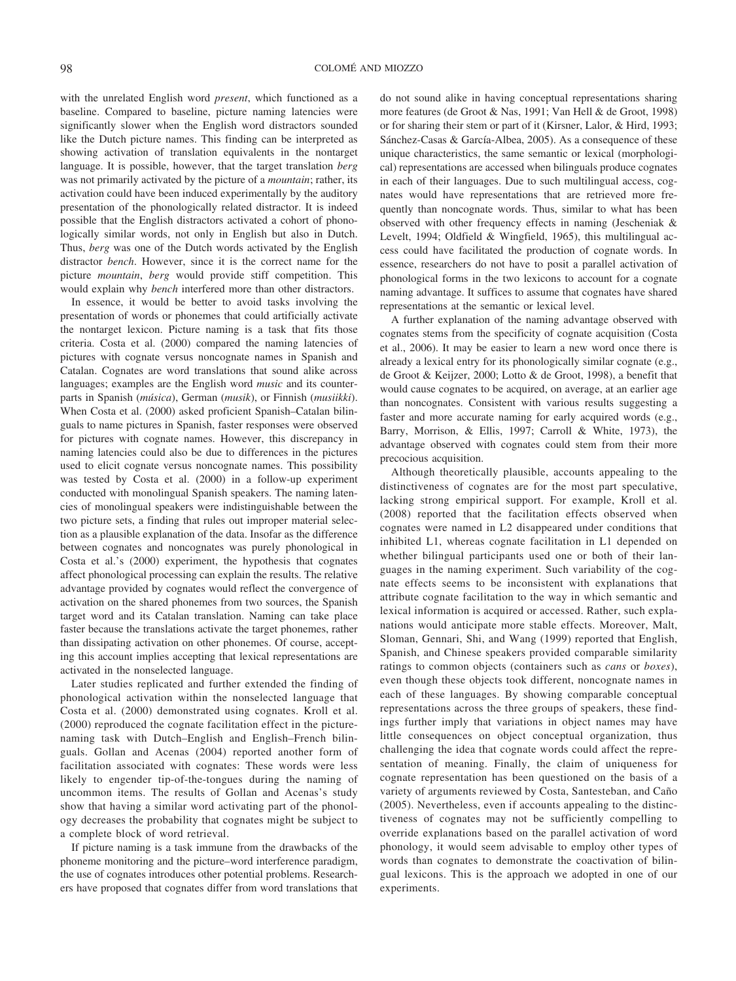with the unrelated English word *present*, which functioned as a baseline. Compared to baseline, picture naming latencies were significantly slower when the English word distractors sounded like the Dutch picture names. This finding can be interpreted as showing activation of translation equivalents in the nontarget language. It is possible, however, that the target translation *berg* was not primarily activated by the picture of a *mountain*; rather, its activation could have been induced experimentally by the auditory presentation of the phonologically related distractor. It is indeed possible that the English distractors activated a cohort of phonologically similar words, not only in English but also in Dutch. Thus, *berg* was one of the Dutch words activated by the English distractor *bench*. However, since it is the correct name for the picture *mountain*, *berg* would provide stiff competition. This would explain why *bench* interfered more than other distractors.

In essence, it would be better to avoid tasks involving the presentation of words or phonemes that could artificially activate the nontarget lexicon. Picture naming is a task that fits those criteria. Costa et al. (2000) compared the naming latencies of pictures with cognate versus noncognate names in Spanish and Catalan. Cognates are word translations that sound alike across languages; examples are the English word *music* and its counterparts in Spanish (*mu´sica*), German (*musik*), or Finnish (*musiikki*). When Costa et al. (2000) asked proficient Spanish–Catalan bilinguals to name pictures in Spanish, faster responses were observed for pictures with cognate names. However, this discrepancy in naming latencies could also be due to differences in the pictures used to elicit cognate versus noncognate names. This possibility was tested by Costa et al. (2000) in a follow-up experiment conducted with monolingual Spanish speakers. The naming latencies of monolingual speakers were indistinguishable between the two picture sets, a finding that rules out improper material selection as a plausible explanation of the data. Insofar as the difference between cognates and noncognates was purely phonological in Costa et al.'s (2000) experiment, the hypothesis that cognates affect phonological processing can explain the results. The relative advantage provided by cognates would reflect the convergence of activation on the shared phonemes from two sources, the Spanish target word and its Catalan translation. Naming can take place faster because the translations activate the target phonemes, rather than dissipating activation on other phonemes. Of course, accepting this account implies accepting that lexical representations are activated in the nonselected language.

Later studies replicated and further extended the finding of phonological activation within the nonselected language that Costa et al. (2000) demonstrated using cognates. Kroll et al. (2000) reproduced the cognate facilitation effect in the picturenaming task with Dutch–English and English–French bilinguals. Gollan and Acenas (2004) reported another form of facilitation associated with cognates: These words were less likely to engender tip-of-the-tongues during the naming of uncommon items. The results of Gollan and Acenas's study show that having a similar word activating part of the phonology decreases the probability that cognates might be subject to a complete block of word retrieval.

If picture naming is a task immune from the drawbacks of the phoneme monitoring and the picture–word interference paradigm, the use of cognates introduces other potential problems. Researchers have proposed that cognates differ from word translations that do not sound alike in having conceptual representations sharing more features (de Groot & Nas, 1991; Van Hell & de Groot, 1998) or for sharing their stem or part of it (Kirsner, Lalor, & Hird, 1993; Sánchez-Casas & García-Albea, 2005). As a consequence of these unique characteristics, the same semantic or lexical (morphological) representations are accessed when bilinguals produce cognates in each of their languages. Due to such multilingual access, cognates would have representations that are retrieved more frequently than noncognate words. Thus, similar to what has been observed with other frequency effects in naming (Jescheniak & Levelt, 1994; Oldfield & Wingfield, 1965), this multilingual access could have facilitated the production of cognate words. In essence, researchers do not have to posit a parallel activation of phonological forms in the two lexicons to account for a cognate naming advantage. It suffices to assume that cognates have shared representations at the semantic or lexical level.

A further explanation of the naming advantage observed with cognates stems from the specificity of cognate acquisition (Costa et al., 2006). It may be easier to learn a new word once there is already a lexical entry for its phonologically similar cognate (e.g., de Groot & Keijzer, 2000; Lotto & de Groot, 1998), a benefit that would cause cognates to be acquired, on average, at an earlier age than noncognates. Consistent with various results suggesting a faster and more accurate naming for early acquired words (e.g., Barry, Morrison, & Ellis, 1997; Carroll & White, 1973), the advantage observed with cognates could stem from their more precocious acquisition.

Although theoretically plausible, accounts appealing to the distinctiveness of cognates are for the most part speculative, lacking strong empirical support. For example, Kroll et al. (2008) reported that the facilitation effects observed when cognates were named in L2 disappeared under conditions that inhibited L1, whereas cognate facilitation in L1 depended on whether bilingual participants used one or both of their languages in the naming experiment. Such variability of the cognate effects seems to be inconsistent with explanations that attribute cognate facilitation to the way in which semantic and lexical information is acquired or accessed. Rather, such explanations would anticipate more stable effects. Moreover, Malt, Sloman, Gennari, Shi, and Wang (1999) reported that English, Spanish, and Chinese speakers provided comparable similarity ratings to common objects (containers such as *cans* or *boxes*), even though these objects took different, noncognate names in each of these languages. By showing comparable conceptual representations across the three groups of speakers, these findings further imply that variations in object names may have little consequences on object conceptual organization, thus challenging the idea that cognate words could affect the representation of meaning. Finally, the claim of uniqueness for cognate representation has been questioned on the basis of a variety of arguments reviewed by Costa, Santesteban, and Caño (2005). Nevertheless, even if accounts appealing to the distinctiveness of cognates may not be sufficiently compelling to override explanations based on the parallel activation of word phonology, it would seem advisable to employ other types of words than cognates to demonstrate the coactivation of bilingual lexicons. This is the approach we adopted in one of our experiments.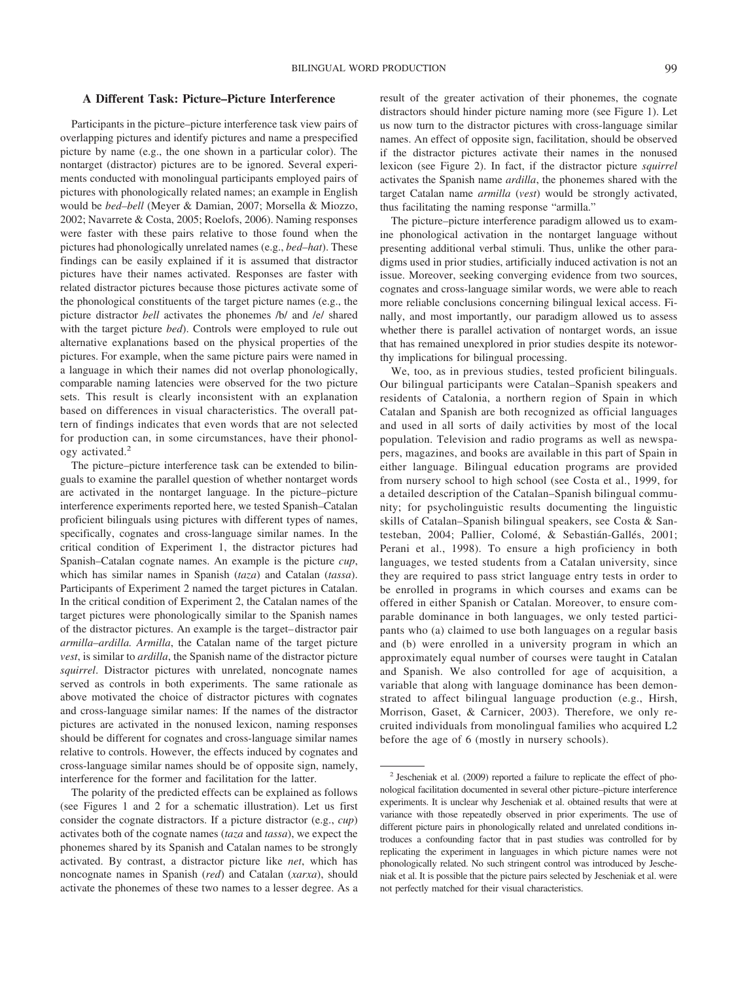#### **A Different Task: Picture–Picture Interference**

Participants in the picture–picture interference task view pairs of overlapping pictures and identify pictures and name a prespecified picture by name (e.g., the one shown in a particular color). The nontarget (distractor) pictures are to be ignored. Several experiments conducted with monolingual participants employed pairs of pictures with phonologically related names; an example in English would be *bed*–*bell* (Meyer & Damian, 2007; Morsella & Miozzo, 2002; Navarrete & Costa, 2005; Roelofs, 2006). Naming responses were faster with these pairs relative to those found when the pictures had phonologically unrelated names (e.g., *bed*–*hat*). These findings can be easily explained if it is assumed that distractor pictures have their names activated. Responses are faster with related distractor pictures because those pictures activate some of the phonological constituents of the target picture names (e.g., the picture distractor *bell* activates the phonemes /b/ and /e/ shared with the target picture *bed*). Controls were employed to rule out alternative explanations based on the physical properties of the pictures. For example, when the same picture pairs were named in a language in which their names did not overlap phonologically, comparable naming latencies were observed for the two picture sets. This result is clearly inconsistent with an explanation based on differences in visual characteristics. The overall pattern of findings indicates that even words that are not selected for production can, in some circumstances, have their phonology activated.<sup>2</sup>

The picture–picture interference task can be extended to bilinguals to examine the parallel question of whether nontarget words are activated in the nontarget language. In the picture–picture interference experiments reported here, we tested Spanish–Catalan proficient bilinguals using pictures with different types of names, specifically, cognates and cross-language similar names. In the critical condition of Experiment 1, the distractor pictures had Spanish–Catalan cognate names. An example is the picture *cup*, which has similar names in Spanish (*taza*) and Catalan (*tassa*). Participants of Experiment 2 named the target pictures in Catalan. In the critical condition of Experiment 2, the Catalan names of the target pictures were phonologically similar to the Spanish names of the distractor pictures. An example is the target–distractor pair *armilla*–*ardilla. Armilla*, the Catalan name of the target picture *vest*, is similar to *ardilla*, the Spanish name of the distractor picture *squirrel*. Distractor pictures with unrelated, noncognate names served as controls in both experiments. The same rationale as above motivated the choice of distractor pictures with cognates and cross-language similar names: If the names of the distractor pictures are activated in the nonused lexicon, naming responses should be different for cognates and cross-language similar names relative to controls. However, the effects induced by cognates and cross-language similar names should be of opposite sign, namely, interference for the former and facilitation for the latter.

The polarity of the predicted effects can be explained as follows (see Figures 1 and 2 for a schematic illustration). Let us first consider the cognate distractors. If a picture distractor (e.g., *cup*) activates both of the cognate names (*taza* and *tassa*), we expect the phonemes shared by its Spanish and Catalan names to be strongly activated. By contrast, a distractor picture like *net*, which has noncognate names in Spanish (*red*) and Catalan (*xarxa*), should activate the phonemes of these two names to a lesser degree. As a

result of the greater activation of their phonemes, the cognate distractors should hinder picture naming more (see Figure 1). Let us now turn to the distractor pictures with cross-language similar names. An effect of opposite sign, facilitation, should be observed if the distractor pictures activate their names in the nonused lexicon (see Figure 2). In fact, if the distractor picture *squirrel* activates the Spanish name *ardilla*, the phonemes shared with the target Catalan name *armilla* (*vest*) would be strongly activated, thus facilitating the naming response "armilla."

The picture–picture interference paradigm allowed us to examine phonological activation in the nontarget language without presenting additional verbal stimuli. Thus, unlike the other paradigms used in prior studies, artificially induced activation is not an issue. Moreover, seeking converging evidence from two sources, cognates and cross-language similar words, we were able to reach more reliable conclusions concerning bilingual lexical access. Finally, and most importantly, our paradigm allowed us to assess whether there is parallel activation of nontarget words, an issue that has remained unexplored in prior studies despite its noteworthy implications for bilingual processing.

We, too, as in previous studies, tested proficient bilinguals. Our bilingual participants were Catalan–Spanish speakers and residents of Catalonia, a northern region of Spain in which Catalan and Spanish are both recognized as official languages and used in all sorts of daily activities by most of the local population. Television and radio programs as well as newspapers, magazines, and books are available in this part of Spain in either language. Bilingual education programs are provided from nursery school to high school (see Costa et al., 1999, for a detailed description of the Catalan–Spanish bilingual community; for psycholinguistic results documenting the linguistic skills of Catalan–Spanish bilingual speakers, see Costa & Santesteban, 2004; Pallier, Colomé, & Sebastián-Gallés, 2001; Perani et al., 1998). To ensure a high proficiency in both languages, we tested students from a Catalan university, since they are required to pass strict language entry tests in order to be enrolled in programs in which courses and exams can be offered in either Spanish or Catalan. Moreover, to ensure comparable dominance in both languages, we only tested participants who (a) claimed to use both languages on a regular basis and (b) were enrolled in a university program in which an approximately equal number of courses were taught in Catalan and Spanish. We also controlled for age of acquisition, a variable that along with language dominance has been demonstrated to affect bilingual language production (e.g., Hirsh, Morrison, Gaset, & Carnicer, 2003). Therefore, we only recruited individuals from monolingual families who acquired L2 before the age of 6 (mostly in nursery schools).

<sup>2</sup> Jescheniak et al. (2009) reported a failure to replicate the effect of phonological facilitation documented in several other picture–picture interference experiments. It is unclear why Jescheniak et al. obtained results that were at variance with those repeatedly observed in prior experiments. The use of different picture pairs in phonologically related and unrelated conditions introduces a confounding factor that in past studies was controlled for by replicating the experiment in languages in which picture names were not phonologically related. No such stringent control was introduced by Jescheniak et al. It is possible that the picture pairs selected by Jescheniak et al. were not perfectly matched for their visual characteristics.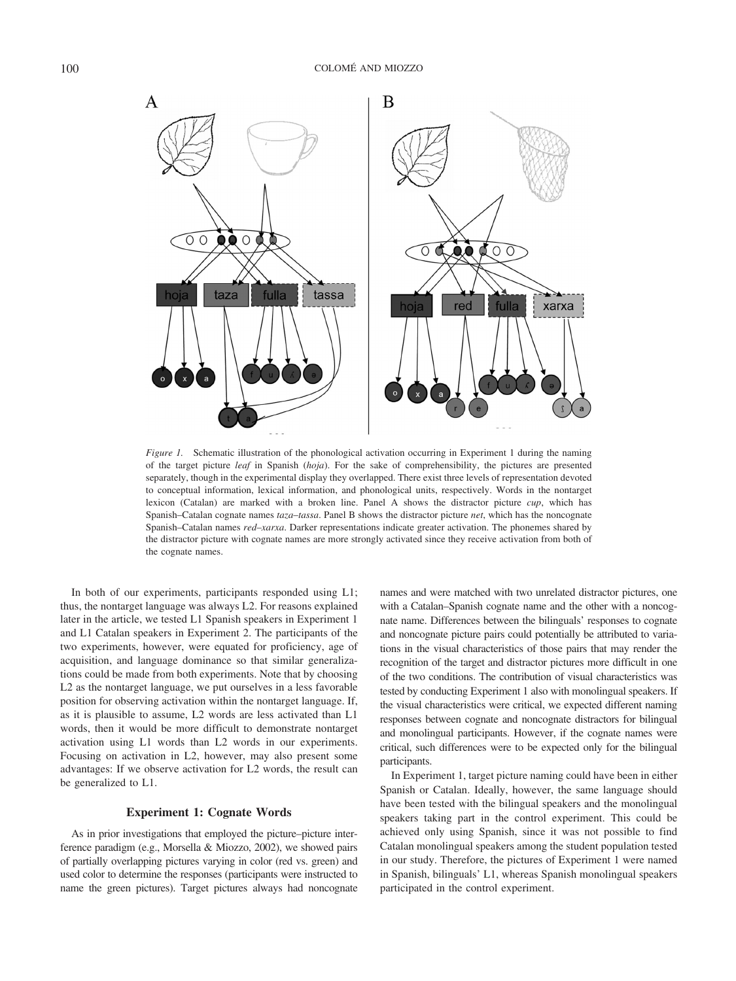

*Figure 1.* Schematic illustration of the phonological activation occurring in Experiment 1 during the naming of the target picture *leaf* in Spanish (*hoja*). For the sake of comprehensibility, the pictures are presented separately, though in the experimental display they overlapped. There exist three levels of representation devoted to conceptual information, lexical information, and phonological units, respectively. Words in the nontarget lexicon (Catalan) are marked with a broken line. Panel A shows the distractor picture *cup*, which has Spanish–Catalan cognate names *taza*–*tassa*. Panel B shows the distractor picture *net*, which has the noncognate Spanish–Catalan names *red*–*xarxa*. Darker representations indicate greater activation. The phonemes shared by the distractor picture with cognate names are more strongly activated since they receive activation from both of the cognate names.

In both of our experiments, participants responded using L1; thus, the nontarget language was always L2. For reasons explained later in the article, we tested L1 Spanish speakers in Experiment 1 and L1 Catalan speakers in Experiment 2. The participants of the two experiments, however, were equated for proficiency, age of acquisition, and language dominance so that similar generalizations could be made from both experiments. Note that by choosing L2 as the nontarget language, we put ourselves in a less favorable position for observing activation within the nontarget language. If, as it is plausible to assume, L2 words are less activated than L1 words, then it would be more difficult to demonstrate nontarget activation using L1 words than L2 words in our experiments. Focusing on activation in L2, however, may also present some advantages: If we observe activation for L2 words, the result can be generalized to L1.

#### **Experiment 1: Cognate Words**

As in prior investigations that employed the picture–picture interference paradigm (e.g., Morsella & Miozzo, 2002), we showed pairs of partially overlapping pictures varying in color (red vs. green) and used color to determine the responses (participants were instructed to name the green pictures). Target pictures always had noncognate names and were matched with two unrelated distractor pictures, one with a Catalan–Spanish cognate name and the other with a noncognate name. Differences between the bilinguals' responses to cognate and noncognate picture pairs could potentially be attributed to variations in the visual characteristics of those pairs that may render the recognition of the target and distractor pictures more difficult in one of the two conditions. The contribution of visual characteristics was tested by conducting Experiment 1 also with monolingual speakers. If the visual characteristics were critical, we expected different naming responses between cognate and noncognate distractors for bilingual and monolingual participants. However, if the cognate names were critical, such differences were to be expected only for the bilingual participants.

In Experiment 1, target picture naming could have been in either Spanish or Catalan. Ideally, however, the same language should have been tested with the bilingual speakers and the monolingual speakers taking part in the control experiment. This could be achieved only using Spanish, since it was not possible to find Catalan monolingual speakers among the student population tested in our study. Therefore, the pictures of Experiment 1 were named in Spanish, bilinguals' L1, whereas Spanish monolingual speakers participated in the control experiment.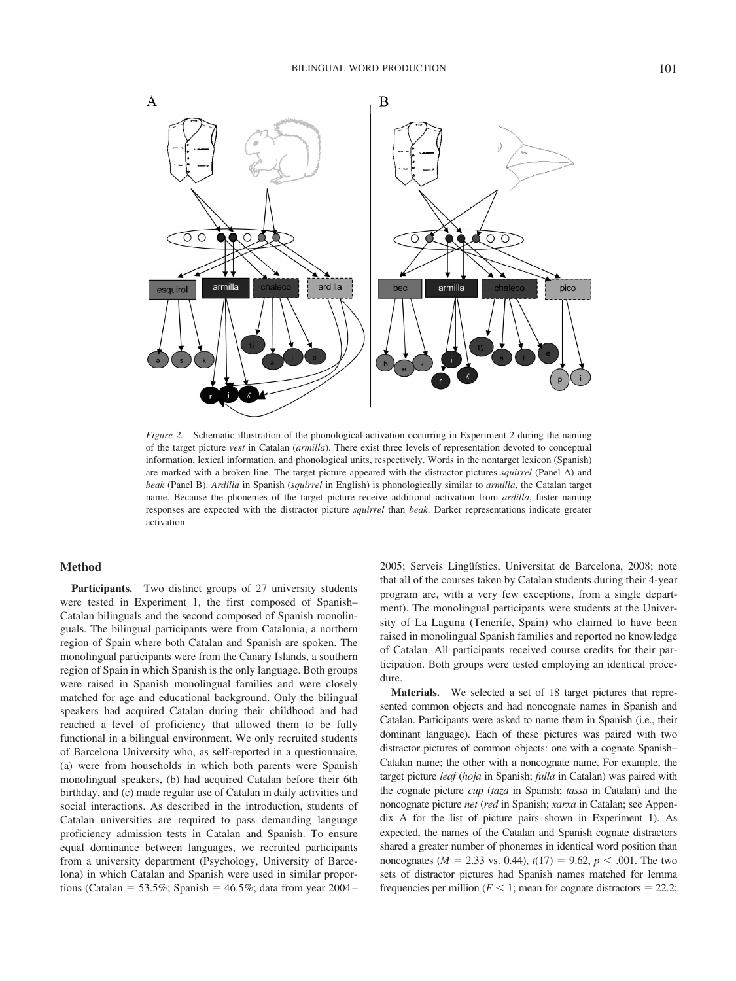

*Figure 2.* Schematic illustration of the phonological activation occurring in Experiment 2 during the naming of the target picture *vest* in Catalan (*armilla*). There exist three levels of representation devoted to conceptual information, lexical information, and phonological units, respectively. Words in the nontarget lexicon (Spanish) are marked with a broken line. The target picture appeared with the distractor pictures *squirrel* (Panel A) and *beak* (Panel B). *Ardilla* in Spanish (*squirrel* in English) is phonologically similar to *armilla*, the Catalan target name. Because the phonemes of the target picture receive additional activation from *ardilla*, faster naming responses are expected with the distractor picture *squirrel* than *beak*. Darker representations indicate greater activation.

## **Method**

Participants. Two distinct groups of 27 university students were tested in Experiment 1, the first composed of Spanish– Catalan bilinguals and the second composed of Spanish monolinguals. The bilingual participants were from Catalonia, a northern region of Spain where both Catalan and Spanish are spoken. The monolingual participants were from the Canary Islands, a southern region of Spain in which Spanish is the only language. Both groups were raised in Spanish monolingual families and were closely matched for age and educational background. Only the bilingual speakers had acquired Catalan during their childhood and had reached a level of proficiency that allowed them to be fully functional in a bilingual environment. We only recruited students of Barcelona University who, as self-reported in a questionnaire, (a) were from households in which both parents were Spanish monolingual speakers, (b) had acquired Catalan before their 6th birthday, and (c) made regular use of Catalan in daily activities and social interactions. As described in the introduction, students of Catalan universities are required to pass demanding language proficiency admission tests in Catalan and Spanish. To ensure equal dominance between languages, we recruited participants from a university department (Psychology, University of Barcelona) in which Catalan and Spanish were used in similar proportions (Catalan = 53.5%; Spanish =  $46.5\%$ ; data from year 2004– 2005; Serveis Lingüístics, Universitat de Barcelona, 2008; note that all of the courses taken by Catalan students during their 4-year program are, with a very few exceptions, from a single department). The monolingual participants were students at the University of La Laguna (Tenerife, Spain) who claimed to have been raised in monolingual Spanish families and reported no knowledge of Catalan. All participants received course credits for their participation. Both groups were tested employing an identical procedure.

**Materials.** We selected a set of 18 target pictures that represented common objects and had noncognate names in Spanish and Catalan. Participants were asked to name them in Spanish (i.e., their dominant language). Each of these pictures was paired with two distractor pictures of common objects: one with a cognate Spanish– Catalan name; the other with a noncognate name. For example, the target picture *leaf* (*hoja* in Spanish; *fulla* in Catalan) was paired with the cognate picture *cup* (*taza* in Spanish; *tassa* in Catalan) and the noncognate picture *net* (*red* in Spanish; *xarxa* in Catalan; see Appendix A for the list of picture pairs shown in Experiment 1). As expected, the names of the Catalan and Spanish cognate distractors shared a greater number of phonemes in identical word position than noncognates ( $M = 2.33$  vs. 0.44),  $t(17) = 9.62$ ,  $p < .001$ . The two sets of distractor pictures had Spanish names matched for lemma frequencies per million ( $F < 1$ ; mean for cognate distractors = 22.2;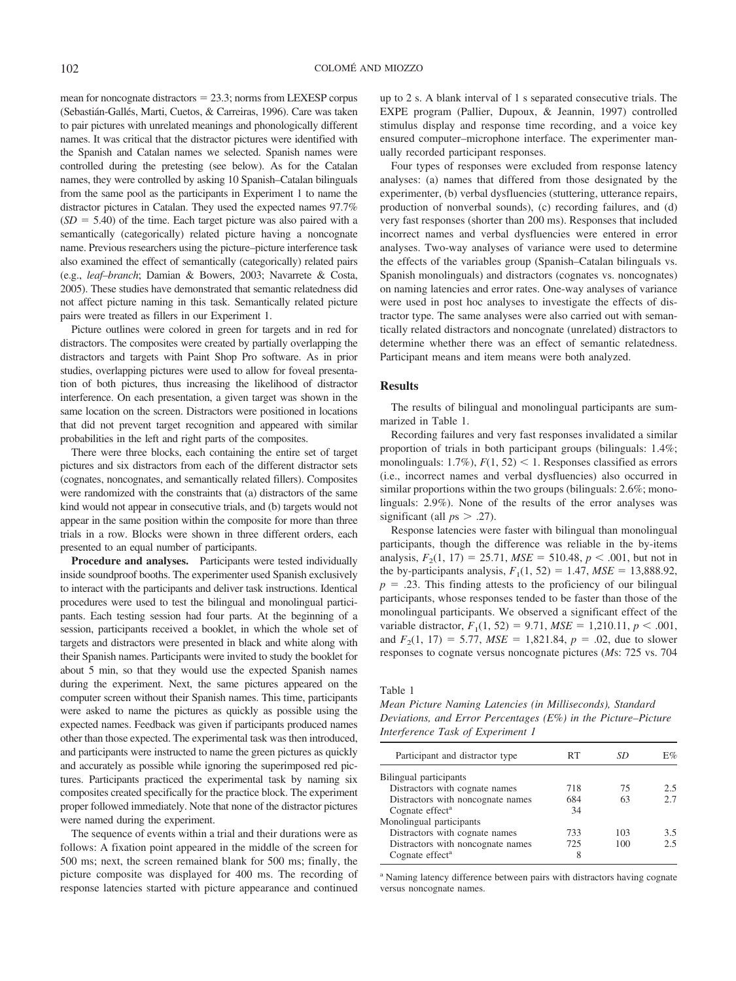mean for noncognate distractors  $= 23.3$ ; norms from LEXESP corpus (Sebastián-Gallés, Marti, Cuetos, & Carreiras, 1996). Care was taken to pair pictures with unrelated meanings and phonologically different names. It was critical that the distractor pictures were identified with the Spanish and Catalan names we selected. Spanish names were controlled during the pretesting (see below). As for the Catalan names, they were controlled by asking 10 Spanish–Catalan bilinguals from the same pool as the participants in Experiment 1 to name the distractor pictures in Catalan. They used the expected names 97.7%  $(SD = 5.40)$  of the time. Each target picture was also paired with a semantically (categorically) related picture having a noncognate name. Previous researchers using the picture–picture interference task also examined the effect of semantically (categorically) related pairs (e.g., *leaf*–*branch*; Damian & Bowers, 2003; Navarrete & Costa, 2005). These studies have demonstrated that semantic relatedness did not affect picture naming in this task. Semantically related picture pairs were treated as fillers in our Experiment 1.

Picture outlines were colored in green for targets and in red for distractors. The composites were created by partially overlapping the distractors and targets with Paint Shop Pro software. As in prior studies, overlapping pictures were used to allow for foveal presentation of both pictures, thus increasing the likelihood of distractor interference. On each presentation, a given target was shown in the same location on the screen. Distractors were positioned in locations that did not prevent target recognition and appeared with similar probabilities in the left and right parts of the composites.

There were three blocks, each containing the entire set of target pictures and six distractors from each of the different distractor sets (cognates, noncognates, and semantically related fillers). Composites were randomized with the constraints that (a) distractors of the same kind would not appear in consecutive trials, and (b) targets would not appear in the same position within the composite for more than three trials in a row. Blocks were shown in three different orders, each presented to an equal number of participants.

**Procedure and analyses.** Participants were tested individually inside soundproof booths. The experimenter used Spanish exclusively to interact with the participants and deliver task instructions. Identical procedures were used to test the bilingual and monolingual participants. Each testing session had four parts. At the beginning of a session, participants received a booklet, in which the whole set of targets and distractors were presented in black and white along with their Spanish names. Participants were invited to study the booklet for about 5 min, so that they would use the expected Spanish names during the experiment. Next, the same pictures appeared on the computer screen without their Spanish names. This time, participants were asked to name the pictures as quickly as possible using the expected names. Feedback was given if participants produced names other than those expected. The experimental task was then introduced, and participants were instructed to name the green pictures as quickly and accurately as possible while ignoring the superimposed red pictures. Participants practiced the experimental task by naming six composites created specifically for the practice block. The experiment proper followed immediately. Note that none of the distractor pictures were named during the experiment.

The sequence of events within a trial and their durations were as follows: A fixation point appeared in the middle of the screen for 500 ms; next, the screen remained blank for 500 ms; finally, the picture composite was displayed for 400 ms. The recording of response latencies started with picture appearance and continued up to 2 s. A blank interval of 1 s separated consecutive trials. The EXPE program (Pallier, Dupoux, & Jeannin, 1997) controlled stimulus display and response time recording, and a voice key ensured computer–microphone interface. The experimenter manually recorded participant responses.

Four types of responses were excluded from response latency analyses: (a) names that differed from those designated by the experimenter, (b) verbal dysfluencies (stuttering, utterance repairs, production of nonverbal sounds), (c) recording failures, and (d) very fast responses (shorter than 200 ms). Responses that included incorrect names and verbal dysfluencies were entered in error analyses. Two-way analyses of variance were used to determine the effects of the variables group (Spanish–Catalan bilinguals vs. Spanish monolinguals) and distractors (cognates vs. noncognates) on naming latencies and error rates. One-way analyses of variance were used in post hoc analyses to investigate the effects of distractor type. The same analyses were also carried out with semantically related distractors and noncognate (unrelated) distractors to determine whether there was an effect of semantic relatedness. Participant means and item means were both analyzed.

#### **Results**

The results of bilingual and monolingual participants are summarized in Table 1.

Recording failures and very fast responses invalidated a similar proportion of trials in both participant groups (bilinguals: 1.4%; monolinguals:  $1.7\%$ ),  $F(1, 52) < 1$ . Responses classified as errors (i.e., incorrect names and verbal dysfluencies) also occurred in similar proportions within the two groups (bilinguals: 2.6%; monolinguals: 2.9%). None of the results of the error analyses was significant (all  $ps > .27$ ).

Response latencies were faster with bilingual than monolingual participants, though the difference was reliable in the by-items analysis,  $F_2(1, 17) = 25.71$ ,  $MSE = 510.48$ ,  $p < .001$ , but not in the by-participants analysis,  $F_1(1, 52) = 1.47$ ,  $MSE = 13,888.92$ ,  $p = .23$ . This finding attests to the proficiency of our bilingual participants, whose responses tended to be faster than those of the monolingual participants. We observed a significant effect of the variable distractor,  $F_1(1, 52) = 9.71$ ,  $MSE = 1,210.11$ ,  $p < .001$ , and  $F_2(1, 17) = 5.77$ ,  $MSE = 1,821.84$ ,  $p = .02$ , due to slower responses to cognate versus noncognate pictures (*M*s: 725 vs. 704

Table 1

*Mean Picture Naming Latencies (in Milliseconds), Standard Deviations, and Error Percentages (E%) in the Picture–Picture Interference Task of Experiment 1*

| Participant and distractor type   | RT  | SD  | $E\%$ |
|-----------------------------------|-----|-----|-------|
|                                   |     |     |       |
| Bilingual participants            |     |     |       |
| Distractors with cognate names    | 718 | 75  | 2.5   |
| Distractors with noncognate names | 684 | 63  | 2.7   |
| Cognate effect <sup>a</sup>       | 34  |     |       |
| Monolingual participants          |     |     |       |
| Distractors with cognate names    | 733 | 103 | 3.5   |
| Distractors with noncognate names | 725 | 100 | 25    |
| Cognate effect <sup>a</sup>       | 8   |     |       |

<sup>a</sup> Naming latency difference between pairs with distractors having cognate versus noncognate names.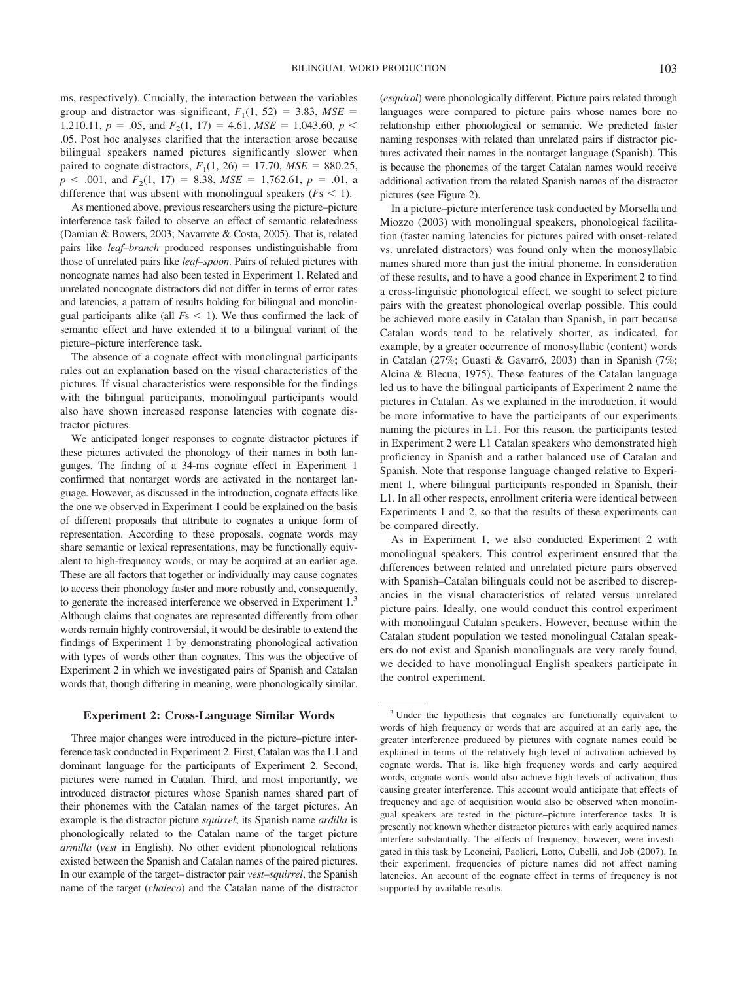ms, respectively). Crucially, the interaction between the variables group and distractor was significant,  $F_1(1, 52) = 3.83$ ,  $MSE =$ 1,210.11,  $p = .05$ , and  $F_2(1, 17) = 4.61$ ,  $MSE = 1,043.60$ ,  $p <$ .05. Post hoc analyses clarified that the interaction arose because bilingual speakers named pictures significantly slower when paired to cognate distractors,  $F_1(1, 26) = 17.70$ ,  $MSE = 880.25$ ,  $p$  < .001, and  $F_2(1, 17) = 8.38$ ,  $MSE = 1,762.61$ ,  $p = .01$ , a difference that was absent with monolingual speakers  $(Fs \leq 1)$ .

As mentioned above, previous researchers using the picture–picture interference task failed to observe an effect of semantic relatedness (Damian & Bowers, 2003; Navarrete & Costa, 2005). That is, related pairs like *leaf*–*branch* produced responses undistinguishable from those of unrelated pairs like *leaf*–*spoon*. Pairs of related pictures with noncognate names had also been tested in Experiment 1. Related and unrelated noncognate distractors did not differ in terms of error rates and latencies, a pattern of results holding for bilingual and monolingual participants alike (all  $Fs < 1$ ). We thus confirmed the lack of semantic effect and have extended it to a bilingual variant of the picture–picture interference task.

The absence of a cognate effect with monolingual participants rules out an explanation based on the visual characteristics of the pictures. If visual characteristics were responsible for the findings with the bilingual participants, monolingual participants would also have shown increased response latencies with cognate distractor pictures.

We anticipated longer responses to cognate distractor pictures if these pictures activated the phonology of their names in both languages. The finding of a 34-ms cognate effect in Experiment 1 confirmed that nontarget words are activated in the nontarget language. However, as discussed in the introduction, cognate effects like the one we observed in Experiment 1 could be explained on the basis of different proposals that attribute to cognates a unique form of representation. According to these proposals, cognate words may share semantic or lexical representations, may be functionally equivalent to high-frequency words, or may be acquired at an earlier age. These are all factors that together or individually may cause cognates to access their phonology faster and more robustly and, consequently, to generate the increased interference we observed in Experiment 1.3 Although claims that cognates are represented differently from other words remain highly controversial, it would be desirable to extend the findings of Experiment 1 by demonstrating phonological activation with types of words other than cognates. This was the objective of Experiment 2 in which we investigated pairs of Spanish and Catalan words that, though differing in meaning, were phonologically similar.

#### **Experiment 2: Cross-Language Similar Words**

Three major changes were introduced in the picture–picture interference task conducted in Experiment 2. First, Catalan was the L1 and dominant language for the participants of Experiment 2. Second, pictures were named in Catalan. Third, and most importantly, we introduced distractor pictures whose Spanish names shared part of their phonemes with the Catalan names of the target pictures. An example is the distractor picture *squirrel*; its Spanish name *ardilla* is phonologically related to the Catalan name of the target picture *armilla* (*vest* in English). No other evident phonological relations existed between the Spanish and Catalan names of the paired pictures. In our example of the target–distractor pair *vest*–*squirrel*, the Spanish name of the target (*chaleco*) and the Catalan name of the distractor (*esquirol*) were phonologically different. Picture pairs related through languages were compared to picture pairs whose names bore no relationship either phonological or semantic. We predicted faster naming responses with related than unrelated pairs if distractor pictures activated their names in the nontarget language (Spanish). This is because the phonemes of the target Catalan names would receive additional activation from the related Spanish names of the distractor pictures (see Figure 2).

In a picture–picture interference task conducted by Morsella and Miozzo (2003) with monolingual speakers, phonological facilitation (faster naming latencies for pictures paired with onset-related vs. unrelated distractors) was found only when the monosyllabic names shared more than just the initial phoneme. In consideration of these results, and to have a good chance in Experiment 2 to find a cross-linguistic phonological effect, we sought to select picture pairs with the greatest phonological overlap possible. This could be achieved more easily in Catalan than Spanish, in part because Catalan words tend to be relatively shorter, as indicated, for example, by a greater occurrence of monosyllabic (content) words in Catalan (27%; Guasti & Gavarró, 2003) than in Spanish (7%; Alcina & Blecua, 1975). These features of the Catalan language led us to have the bilingual participants of Experiment 2 name the pictures in Catalan. As we explained in the introduction, it would be more informative to have the participants of our experiments naming the pictures in L1. For this reason, the participants tested in Experiment 2 were L1 Catalan speakers who demonstrated high proficiency in Spanish and a rather balanced use of Catalan and Spanish. Note that response language changed relative to Experiment 1, where bilingual participants responded in Spanish, their L1. In all other respects, enrollment criteria were identical between Experiments 1 and 2, so that the results of these experiments can be compared directly.

As in Experiment 1, we also conducted Experiment 2 with monolingual speakers. This control experiment ensured that the differences between related and unrelated picture pairs observed with Spanish–Catalan bilinguals could not be ascribed to discrepancies in the visual characteristics of related versus unrelated picture pairs. Ideally, one would conduct this control experiment with monolingual Catalan speakers. However, because within the Catalan student population we tested monolingual Catalan speakers do not exist and Spanish monolinguals are very rarely found, we decided to have monolingual English speakers participate in the control experiment.

<sup>3</sup> Under the hypothesis that cognates are functionally equivalent to words of high frequency or words that are acquired at an early age, the greater interference produced by pictures with cognate names could be explained in terms of the relatively high level of activation achieved by cognate words. That is, like high frequency words and early acquired words, cognate words would also achieve high levels of activation, thus causing greater interference. This account would anticipate that effects of frequency and age of acquisition would also be observed when monolingual speakers are tested in the picture–picture interference tasks. It is presently not known whether distractor pictures with early acquired names interfere substantially. The effects of frequency, however, were investigated in this task by Leoncini, Paolieri, Lotto, Cubelli, and Job (2007). In their experiment, frequencies of picture names did not affect naming latencies. An account of the cognate effect in terms of frequency is not supported by available results.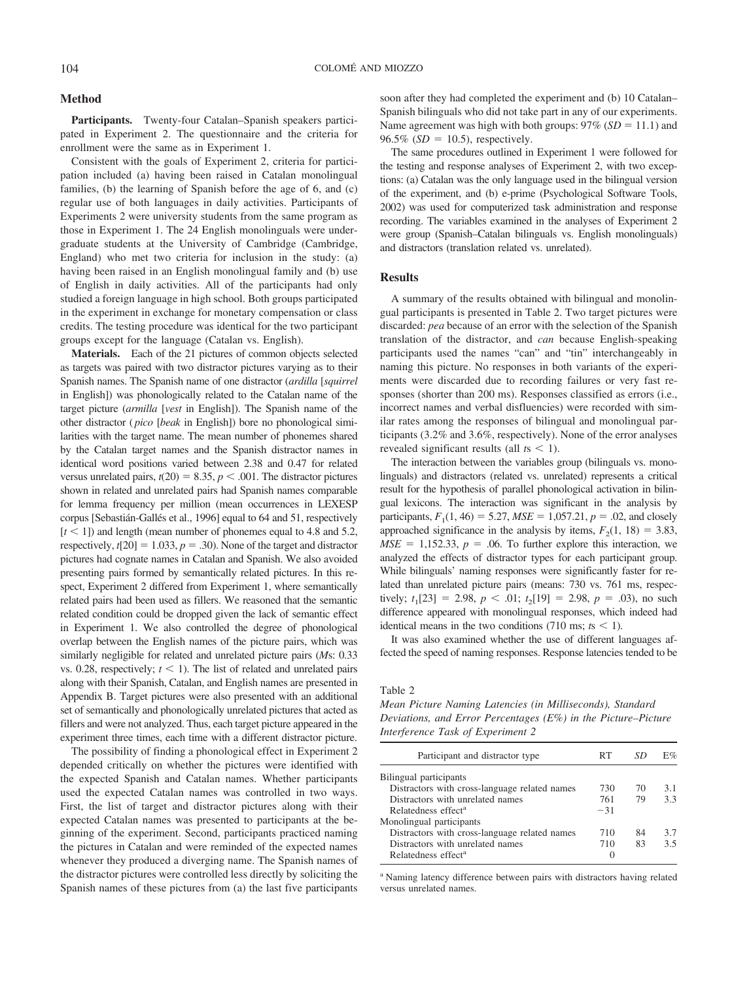# **Method**

**Participants.** Twenty-four Catalan–Spanish speakers participated in Experiment 2. The questionnaire and the criteria for enrollment were the same as in Experiment 1.

Consistent with the goals of Experiment 2, criteria for participation included (a) having been raised in Catalan monolingual families, (b) the learning of Spanish before the age of 6, and (c) regular use of both languages in daily activities. Participants of Experiments 2 were university students from the same program as those in Experiment 1. The 24 English monolinguals were undergraduate students at the University of Cambridge (Cambridge, England) who met two criteria for inclusion in the study: (a) having been raised in an English monolingual family and (b) use of English in daily activities. All of the participants had only studied a foreign language in high school. Both groups participated in the experiment in exchange for monetary compensation or class credits. The testing procedure was identical for the two participant groups except for the language (Catalan vs. English).

**Materials.** Each of the 21 pictures of common objects selected as targets was paired with two distractor pictures varying as to their Spanish names. The Spanish name of one distractor (*ardilla* [*squirrel* in English]) was phonologically related to the Catalan name of the target picture (*armilla* [*vest* in English]). The Spanish name of the other distractor ( *pico* [*beak* in English]) bore no phonological similarities with the target name. The mean number of phonemes shared by the Catalan target names and the Spanish distractor names in identical word positions varied between 2.38 and 0.47 for related versus unrelated pairs,  $t(20) = 8.35$ ,  $p < .001$ . The distractor pictures shown in related and unrelated pairs had Spanish names comparable for lemma frequency per million (mean occurrences in LEXESP corpus [Sebastián-Gallés et al., 1996] equal to 64 and 51, respectively  $[t < 1]$ ) and length (mean number of phonemes equal to 4.8 and 5.2, respectively,  $t[20] = 1.033$ ,  $p = .30$ ). None of the target and distractor pictures had cognate names in Catalan and Spanish. We also avoided presenting pairs formed by semantically related pictures. In this respect, Experiment 2 differed from Experiment 1, where semantically related pairs had been used as fillers. We reasoned that the semantic related condition could be dropped given the lack of semantic effect in Experiment 1. We also controlled the degree of phonological overlap between the English names of the picture pairs, which was similarly negligible for related and unrelated picture pairs (*M*s: 0.33 vs. 0.28, respectively;  $t < 1$ ). The list of related and unrelated pairs along with their Spanish, Catalan, and English names are presented in Appendix B. Target pictures were also presented with an additional set of semantically and phonologically unrelated pictures that acted as fillers and were not analyzed. Thus, each target picture appeared in the experiment three times, each time with a different distractor picture.

The possibility of finding a phonological effect in Experiment 2 depended critically on whether the pictures were identified with the expected Spanish and Catalan names. Whether participants used the expected Catalan names was controlled in two ways. First, the list of target and distractor pictures along with their expected Catalan names was presented to participants at the beginning of the experiment. Second, participants practiced naming the pictures in Catalan and were reminded of the expected names whenever they produced a diverging name. The Spanish names of the distractor pictures were controlled less directly by soliciting the Spanish names of these pictures from (a) the last five participants soon after they had completed the experiment and (b) 10 Catalan– Spanish bilinguals who did not take part in any of our experiments. Name agreement was high with both groups:  $97\%$  (*SD* = 11.1) and 96.5% ( $SD = 10.5$ ), respectively.

The same procedures outlined in Experiment 1 were followed for the testing and response analyses of Experiment 2, with two exceptions: (a) Catalan was the only language used in the bilingual version of the experiment, and (b) e-prime (Psychological Software Tools, 2002) was used for computerized task administration and response recording. The variables examined in the analyses of Experiment 2 were group (Spanish–Catalan bilinguals vs. English monolinguals) and distractors (translation related vs. unrelated).

#### **Results**

A summary of the results obtained with bilingual and monolingual participants is presented in Table 2. Two target pictures were discarded: *pea* because of an error with the selection of the Spanish translation of the distractor, and *can* because English-speaking participants used the names "can" and "tin" interchangeably in naming this picture. No responses in both variants of the experiments were discarded due to recording failures or very fast responses (shorter than 200 ms). Responses classified as errors (i.e., incorrect names and verbal disfluencies) were recorded with similar rates among the responses of bilingual and monolingual participants (3.2% and 3.6%, respectively). None of the error analyses revealed significant results (all  $ts < 1$ ).

The interaction between the variables group (bilinguals vs. monolinguals) and distractors (related vs. unrelated) represents a critical result for the hypothesis of parallel phonological activation in bilingual lexicons. The interaction was significant in the analysis by participants,  $F_1(1, 46) = 5.27$ ,  $MSE = 1,057.21$ ,  $p = .02$ , and closely approached significance in the analysis by items,  $F_2(1, 18) = 3.83$ ,  $MSE = 1,152.33, p = .06$ . To further explore this interaction, we analyzed the effects of distractor types for each participant group. While bilinguals' naming responses were significantly faster for related than unrelated picture pairs (means: 730 vs. 761 ms, respectively;  $t_1[23] = 2.98$ ,  $p < .01$ ;  $t_2[19] = 2.98$ ,  $p = .03$ ), no such difference appeared with monolingual responses, which indeed had identical means in the two conditions  $(710 \text{ ms}; t s < 1)$ .

It was also examined whether the use of different languages affected the speed of naming responses. Response latencies tended to be

Table 2

*Mean Picture Naming Latencies (in Milliseconds), Standard Deviations, and Error Percentages (E%) in the Picture–Picture Interference Task of Experiment 2*

| Participant and distractor type               | <b>RT</b> | SD | $E\%$ |
|-----------------------------------------------|-----------|----|-------|
| Bilingual participants                        |           |    |       |
| Distractors with cross-language related names | 730       | 70 | 3.1   |
| Distractors with unrelated names              | 761       | 79 | 3.3   |
| Relatedness effect <sup>a</sup>               | $-31$     |    |       |
| Monolingual participants                      |           |    |       |
| Distractors with cross-language related names | 710       | 84 | 3.7   |
| Distractors with unrelated names              | 710       | 83 | 3.5   |
| Relatedness effect <sup>a</sup>               | $\Omega$  |    |       |
|                                               |           |    |       |

<sup>a</sup> Naming latency difference between pairs with distractors having related versus unrelated names.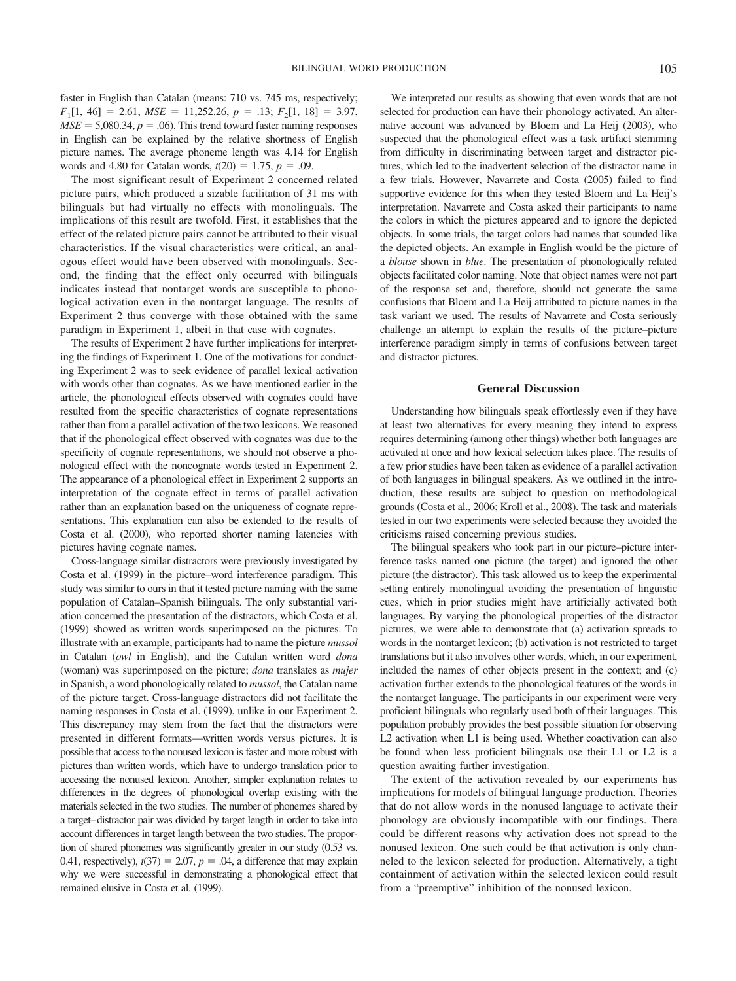faster in English than Catalan (means: 710 vs. 745 ms, respectively;  $F_1[1, 46] = 2.61, MSE = 11,252.26, p = .13; F_2[1, 18] = 3.97,$  $MSE = 5,080.34, p = .06$ . This trend toward faster naming responses in English can be explained by the relative shortness of English picture names. The average phoneme length was 4.14 for English words and 4.80 for Catalan words,  $t(20) = 1.75$ ,  $p = .09$ .

The most significant result of Experiment 2 concerned related picture pairs, which produced a sizable facilitation of 31 ms with bilinguals but had virtually no effects with monolinguals. The implications of this result are twofold. First, it establishes that the effect of the related picture pairs cannot be attributed to their visual characteristics. If the visual characteristics were critical, an analogous effect would have been observed with monolinguals. Second, the finding that the effect only occurred with bilinguals indicates instead that nontarget words are susceptible to phonological activation even in the nontarget language. The results of Experiment 2 thus converge with those obtained with the same paradigm in Experiment 1, albeit in that case with cognates.

The results of Experiment 2 have further implications for interpreting the findings of Experiment 1. One of the motivations for conducting Experiment 2 was to seek evidence of parallel lexical activation with words other than cognates. As we have mentioned earlier in the article, the phonological effects observed with cognates could have resulted from the specific characteristics of cognate representations rather than from a parallel activation of the two lexicons. We reasoned that if the phonological effect observed with cognates was due to the specificity of cognate representations, we should not observe a phonological effect with the noncognate words tested in Experiment 2. The appearance of a phonological effect in Experiment 2 supports an interpretation of the cognate effect in terms of parallel activation rather than an explanation based on the uniqueness of cognate representations. This explanation can also be extended to the results of Costa et al. (2000), who reported shorter naming latencies with pictures having cognate names.

Cross-language similar distractors were previously investigated by Costa et al. (1999) in the picture–word interference paradigm. This study was similar to ours in that it tested picture naming with the same population of Catalan–Spanish bilinguals. The only substantial variation concerned the presentation of the distractors, which Costa et al. (1999) showed as written words superimposed on the pictures. To illustrate with an example, participants had to name the picture *mussol* in Catalan (*owl* in English), and the Catalan written word *dona* (woman) was superimposed on the picture; *dona* translates as *mujer* in Spanish, a word phonologically related to *mussol*, the Catalan name of the picture target. Cross-language distractors did not facilitate the naming responses in Costa et al. (1999), unlike in our Experiment 2. This discrepancy may stem from the fact that the distractors were presented in different formats—written words versus pictures. It is possible that access to the nonused lexicon is faster and more robust with pictures than written words, which have to undergo translation prior to accessing the nonused lexicon. Another, simpler explanation relates to differences in the degrees of phonological overlap existing with the materials selected in the two studies. The number of phonemes shared by a target–distractor pair was divided by target length in order to take into account differences in target length between the two studies. The proportion of shared phonemes was significantly greater in our study (0.53 vs. 0.41, respectively),  $t(37) = 2.07$ ,  $p = .04$ , a difference that may explain why we were successful in demonstrating a phonological effect that remained elusive in Costa et al. (1999).

We interpreted our results as showing that even words that are not selected for production can have their phonology activated. An alternative account was advanced by Bloem and La Heij (2003), who suspected that the phonological effect was a task artifact stemming from difficulty in discriminating between target and distractor pictures, which led to the inadvertent selection of the distractor name in a few trials. However, Navarrete and Costa (2005) failed to find supportive evidence for this when they tested Bloem and La Heij's interpretation. Navarrete and Costa asked their participants to name the colors in which the pictures appeared and to ignore the depicted objects. In some trials, the target colors had names that sounded like the depicted objects. An example in English would be the picture of a *blouse* shown in *blue*. The presentation of phonologically related objects facilitated color naming. Note that object names were not part of the response set and, therefore, should not generate the same confusions that Bloem and La Heij attributed to picture names in the task variant we used. The results of Navarrete and Costa seriously challenge an attempt to explain the results of the picture–picture interference paradigm simply in terms of confusions between target and distractor pictures.

#### **General Discussion**

Understanding how bilinguals speak effortlessly even if they have at least two alternatives for every meaning they intend to express requires determining (among other things) whether both languages are activated at once and how lexical selection takes place. The results of a few prior studies have been taken as evidence of a parallel activation of both languages in bilingual speakers. As we outlined in the introduction, these results are subject to question on methodological grounds (Costa et al., 2006; Kroll et al., 2008). The task and materials tested in our two experiments were selected because they avoided the criticisms raised concerning previous studies.

The bilingual speakers who took part in our picture–picture interference tasks named one picture (the target) and ignored the other picture (the distractor). This task allowed us to keep the experimental setting entirely monolingual avoiding the presentation of linguistic cues, which in prior studies might have artificially activated both languages. By varying the phonological properties of the distractor pictures, we were able to demonstrate that (a) activation spreads to words in the nontarget lexicon; (b) activation is not restricted to target translations but it also involves other words, which, in our experiment, included the names of other objects present in the context; and (c) activation further extends to the phonological features of the words in the nontarget language. The participants in our experiment were very proficient bilinguals who regularly used both of their languages. This population probably provides the best possible situation for observing L2 activation when L1 is being used. Whether coactivation can also be found when less proficient bilinguals use their L1 or L2 is a question awaiting further investigation.

The extent of the activation revealed by our experiments has implications for models of bilingual language production. Theories that do not allow words in the nonused language to activate their phonology are obviously incompatible with our findings. There could be different reasons why activation does not spread to the nonused lexicon. One such could be that activation is only channeled to the lexicon selected for production. Alternatively, a tight containment of activation within the selected lexicon could result from a "preemptive" inhibition of the nonused lexicon.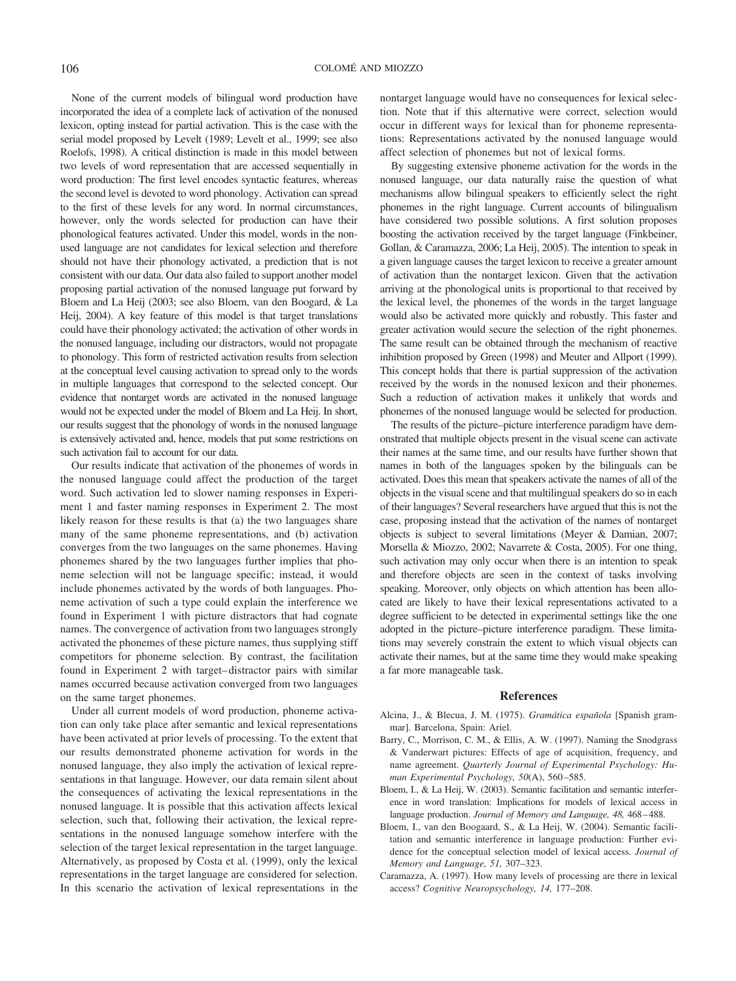None of the current models of bilingual word production have incorporated the idea of a complete lack of activation of the nonused lexicon, opting instead for partial activation. This is the case with the serial model proposed by Levelt (1989; Levelt et al., 1999; see also Roelofs, 1998). A critical distinction is made in this model between two levels of word representation that are accessed sequentially in word production: The first level encodes syntactic features, whereas the second level is devoted to word phonology. Activation can spread to the first of these levels for any word. In normal circumstances, however, only the words selected for production can have their phonological features activated. Under this model, words in the nonused language are not candidates for lexical selection and therefore should not have their phonology activated, a prediction that is not consistent with our data. Our data also failed to support another model proposing partial activation of the nonused language put forward by Bloem and La Heij (2003; see also Bloem, van den Boogard, & La Heij, 2004). A key feature of this model is that target translations could have their phonology activated; the activation of other words in the nonused language, including our distractors, would not propagate to phonology. This form of restricted activation results from selection at the conceptual level causing activation to spread only to the words in multiple languages that correspond to the selected concept. Our evidence that nontarget words are activated in the nonused language would not be expected under the model of Bloem and La Heij. In short, our results suggest that the phonology of words in the nonused language is extensively activated and, hence, models that put some restrictions on such activation fail to account for our data.

Our results indicate that activation of the phonemes of words in the nonused language could affect the production of the target word. Such activation led to slower naming responses in Experiment 1 and faster naming responses in Experiment 2. The most likely reason for these results is that (a) the two languages share many of the same phoneme representations, and (b) activation converges from the two languages on the same phonemes. Having phonemes shared by the two languages further implies that phoneme selection will not be language specific; instead, it would include phonemes activated by the words of both languages. Phoneme activation of such a type could explain the interference we found in Experiment 1 with picture distractors that had cognate names. The convergence of activation from two languages strongly activated the phonemes of these picture names, thus supplying stiff competitors for phoneme selection. By contrast, the facilitation found in Experiment 2 with target–distractor pairs with similar names occurred because activation converged from two languages on the same target phonemes.

Under all current models of word production, phoneme activation can only take place after semantic and lexical representations have been activated at prior levels of processing. To the extent that our results demonstrated phoneme activation for words in the nonused language, they also imply the activation of lexical representations in that language. However, our data remain silent about the consequences of activating the lexical representations in the nonused language. It is possible that this activation affects lexical selection, such that, following their activation, the lexical representations in the nonused language somehow interfere with the selection of the target lexical representation in the target language. Alternatively, as proposed by Costa et al. (1999), only the lexical representations in the target language are considered for selection. In this scenario the activation of lexical representations in the nontarget language would have no consequences for lexical selection. Note that if this alternative were correct, selection would occur in different ways for lexical than for phoneme representations: Representations activated by the nonused language would affect selection of phonemes but not of lexical forms.

By suggesting extensive phoneme activation for the words in the nonused language, our data naturally raise the question of what mechanisms allow bilingual speakers to efficiently select the right phonemes in the right language. Current accounts of bilingualism have considered two possible solutions. A first solution proposes boosting the activation received by the target language (Finkbeiner, Gollan, & Caramazza, 2006; La Heij, 2005). The intention to speak in a given language causes the target lexicon to receive a greater amount of activation than the nontarget lexicon. Given that the activation arriving at the phonological units is proportional to that received by the lexical level, the phonemes of the words in the target language would also be activated more quickly and robustly. This faster and greater activation would secure the selection of the right phonemes. The same result can be obtained through the mechanism of reactive inhibition proposed by Green (1998) and Meuter and Allport (1999). This concept holds that there is partial suppression of the activation received by the words in the nonused lexicon and their phonemes. Such a reduction of activation makes it unlikely that words and phonemes of the nonused language would be selected for production.

The results of the picture–picture interference paradigm have demonstrated that multiple objects present in the visual scene can activate their names at the same time, and our results have further shown that names in both of the languages spoken by the bilinguals can be activated. Does this mean that speakers activate the names of all of the objects in the visual scene and that multilingual speakers do so in each of their languages? Several researchers have argued that this is not the case, proposing instead that the activation of the names of nontarget objects is subject to several limitations (Meyer & Damian, 2007; Morsella & Miozzo, 2002; Navarrete & Costa, 2005). For one thing, such activation may only occur when there is an intention to speak and therefore objects are seen in the context of tasks involving speaking. Moreover, only objects on which attention has been allocated are likely to have their lexical representations activated to a degree sufficient to be detected in experimental settings like the one adopted in the picture–picture interference paradigm. These limitations may severely constrain the extent to which visual objects can activate their names, but at the same time they would make speaking a far more manageable task.

#### **References**

- Alcina, J., & Blecua, J. M. (1975). *Gramática española* [Spanish grammar]. Barcelona, Spain: Ariel.
- Barry, C., Morrison, C. M., & Ellis, A. W. (1997). Naming the Snodgrass & Vanderwart pictures: Effects of age of acquisition, frequency, and name agreement. *Quarterly Journal of Experimental Psychology: Human Experimental Psychology, 50*(A), 560–585.
- Bloem, I., & La Heij, W. (2003). Semantic facilitation and semantic interference in word translation: Implications for models of lexical access in language production. *Journal of Memory and Language, 48,* 468–488.
- Bloem, I., van den Boogaard, S., & La Heij, W. (2004). Semantic facilitation and semantic interference in language production: Further evidence for the conceptual selection model of lexical access. *Journal of Memory and Language, 51,* 307–323.
- Caramazza, A. (1997). How many levels of processing are there in lexical access? *Cognitive Neuropsychology, 14,* 177–208.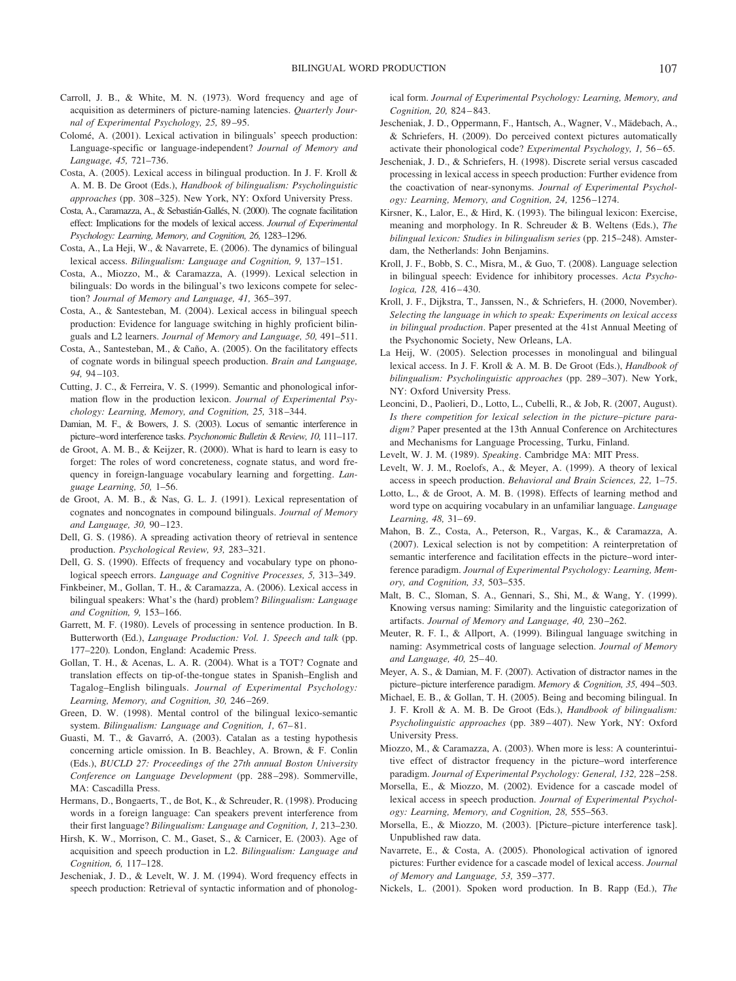- Carroll, J. B., & White, M. N. (1973). Word frequency and age of acquisition as determiners of picture-naming latencies. *Quarterly Journal of Experimental Psychology, 25,* 89–95.
- Colomé, A. (2001). Lexical activation in bilinguals' speech production: Language-specific or language-independent? *Journal of Memory and Language, 45,* 721–736.
- Costa, A. (2005). Lexical access in bilingual production. In J. F. Kroll & A. M. B. De Groot (Eds.), *Handbook of bilingualism: Psycholinguistic approaches* (pp. 308–325). New York, NY: Oxford University Press.
- Costa, A., Caramazza, A., & Sebastián-Gallés, N. (2000). The cognate facilitation effect: Implications for the models of lexical access. *Journal of Experimental Psychology: Learning, Memory, and Cognition, 26,* 1283–1296.
- Costa, A., La Heji, W., & Navarrete, E. (2006). The dynamics of bilingual lexical access. *Bilingualism: Language and Cognition, 9,* 137–151.
- Costa, A., Miozzo, M., & Caramazza, A. (1999). Lexical selection in bilinguals: Do words in the bilingual's two lexicons compete for selection? *Journal of Memory and Language, 41,* 365–397.
- Costa, A., & Santesteban, M. (2004). Lexical access in bilingual speech production: Evidence for language switching in highly proficient bilinguals and L2 learners. *Journal of Memory and Language, 50,* 491–511.
- Costa, A., Santesteban, M., & Caño, A. (2005). On the facilitatory effects of cognate words in bilingual speech production. *Brain and Language, 94,* 94–103.
- Cutting, J. C., & Ferreira, V. S. (1999). Semantic and phonological information flow in the production lexicon. *Journal of Experimental Psychology: Learning, Memory, and Cognition, 25,* 318–344.
- Damian, M. F., & Bowers, J. S. (2003). Locus of semantic interference in picture–word interference tasks. *Psychonomic Bulletin & Review, 10,* 111–117.
- de Groot, A. M. B., & Keijzer, R. (2000). What is hard to learn is easy to forget: The roles of word concreteness, cognate status, and word frequency in foreign-language vocabulary learning and forgetting. *Language Learning, 50,* 1–56.
- de Groot, A. M. B., & Nas, G. L. J. (1991). Lexical representation of cognates and noncognates in compound bilinguals. *Journal of Memory and Language, 30,* 90–123.
- Dell, G. S. (1986). A spreading activation theory of retrieval in sentence production. *Psychological Review, 93,* 283–321.
- Dell, G. S. (1990). Effects of frequency and vocabulary type on phonological speech errors. *Language and Cognitive Processes, 5,* 313–349.
- Finkbeiner, M., Gollan, T. H., & Caramazza, A. (2006). Lexical access in bilingual speakers: What's the (hard) problem? *Bilingualism: Language and Cognition, 9,* 153–166.
- Garrett, M. F. (1980). Levels of processing in sentence production. In B. Butterworth (Ed.), *Language Production: Vol. 1. Speech and talk* (pp. 177–220)*.* London, England: Academic Press.
- Gollan, T. H., & Acenas, L. A. R. (2004). What is a TOT? Cognate and translation effects on tip-of-the-tongue states in Spanish–English and Tagalog–English bilinguals. *Journal of Experimental Psychology: Learning, Memory, and Cognition, 30,* 246–269.
- Green, D. W. (1998). Mental control of the bilingual lexico-semantic system. *Bilingualism: Language and Cognition, 1,* 67–81.
- Guasti, M. T., & Gavarró, A. (2003). Catalan as a testing hypothesis concerning article omission. In B. Beachley, A. Brown, & F. Conlin (Eds.), *BUCLD 27: Proceedings of the 27th annual Boston University Conference on Language Development* (pp. 288–298). Sommerville, MA: Cascadilla Press.
- Hermans, D., Bongaerts, T., de Bot, K., & Schreuder, R. (1998). Producing words in a foreign language: Can speakers prevent interference from their first language? *Bilingualism: Language and Cognition, 1,* 213–230.
- Hirsh, K. W., Morrison, C. M., Gaset, S., & Carnicer, E. (2003). Age of acquisition and speech production in L2. *Bilingualism: Language and Cognition, 6,* 117–128.
- Jescheniak, J. D., & Levelt, W. J. M. (1994). Word frequency effects in speech production: Retrieval of syntactic information and of phonolog-

ical form. *Journal of Experimental Psychology: Learning, Memory, and Cognition, 20,* 824–843.

- Jescheniak, J. D., Oppermann, F., Hantsch, A., Wagner, V., Mädebach, A., & Schriefers, H. (2009). Do perceived context pictures automatically activate their phonological code? *Experimental Psychology, 1,* 56–65*.*
- Jescheniak, J. D., & Schriefers, H. (1998). Discrete serial versus cascaded processing in lexical access in speech production: Further evidence from the coactivation of near-synonyms. *Journal of Experimental Psychology: Learning, Memory, and Cognition, 24,* 1256–1274.
- Kirsner, K., Lalor, E., & Hird, K. (1993). The bilingual lexicon: Exercise, meaning and morphology. In R. Schreuder & B. Weltens (Eds.), *The bilingual lexicon: Studies in bilingualism series* (pp. 215–248). Amsterdam, the Netherlands: John Benjamins.
- Kroll, J. F., Bobb, S. C., Misra, M., & Guo, T. (2008). Language selection in bilingual speech: Evidence for inhibitory processes. *Acta Psychologica, 128,* 416–430.
- Kroll, J. F., Dijkstra, T., Janssen, N., & Schriefers, H. (2000, November). *Selecting the language in which to speak: Experiments on lexical access in bilingual production*. Paper presented at the 41st Annual Meeting of the Psychonomic Society, New Orleans, LA.
- La Heij, W. (2005). Selection processes in monolingual and bilingual lexical access. In J. F. Kroll & A. M. B. De Groot (Eds.), *Handbook of bilingualism: Psycholinguistic approaches* (pp. 289–307). New York, NY: Oxford University Press.
- Leoncini, D., Paolieri, D., Lotto, L., Cubelli, R., & Job, R. (2007, August). *Is there competition for lexical selection in the picture–picture paradigm?* Paper presented at the 13th Annual Conference on Architectures and Mechanisms for Language Processing, Turku, Finland.
- Levelt, W. J. M. (1989). *Speaking*. Cambridge MA: MIT Press.
- Levelt, W. J. M., Roelofs, A., & Meyer, A. (1999). A theory of lexical access in speech production. *Behavioral and Brain Sciences, 22,* 1–75.
- Lotto, L., & de Groot, A. M. B. (1998). Effects of learning method and word type on acquiring vocabulary in an unfamiliar language. *Language Learning, 48,* 31–69.
- Mahon, B. Z., Costa, A., Peterson, R., Vargas, K., & Caramazza, A. (2007). Lexical selection is not by competition: A reinterpretation of semantic interference and facilitation effects in the picture–word interference paradigm. *Journal of Experimental Psychology: Learning, Memory, and Cognition, 33,* 503–535.
- Malt, B. C., Sloman, S. A., Gennari, S., Shi, M., & Wang, Y. (1999). Knowing versus naming: Similarity and the linguistic categorization of artifacts. *Journal of Memory and Language, 40,* 230–262.
- Meuter, R. F. I., & Allport, A. (1999). Bilingual language switching in naming: Asymmetrical costs of language selection. *Journal of Memory and Language, 40,* 25–40.
- Meyer, A. S., & Damian, M. F. (2007). Activation of distractor names in the picture–picture interference paradigm. *Memory & Cognition, 35,* 494–503.
- Michael, E. B., & Gollan, T. H. (2005). Being and becoming bilingual. In J. F. Kroll & A. M. B. De Groot (Eds.), *Handbook of bilingualism: Psycholinguistic approaches* (pp. 389–407). New York, NY: Oxford University Press.
- Miozzo, M., & Caramazza, A. (2003). When more is less: A counterintuitive effect of distractor frequency in the picture–word interference paradigm. *Journal of Experimental Psychology: General, 132,* 228–258.
- Morsella, E., & Miozzo, M. (2002). Evidence for a cascade model of lexical access in speech production. *Journal of Experimental Psychology: Learning, Memory, and Cognition, 28,* 555–563.
- Morsella, E., & Miozzo, M. (2003). [Picture–picture interference task]. Unpublished raw data.
- Navarrete, E., & Costa, A. (2005). Phonological activation of ignored pictures: Further evidence for a cascade model of lexical access. *Journal of Memory and Language, 53,* 359–377.
- Nickels, L. (2001). Spoken word production. In B. Rapp (Ed.), *The*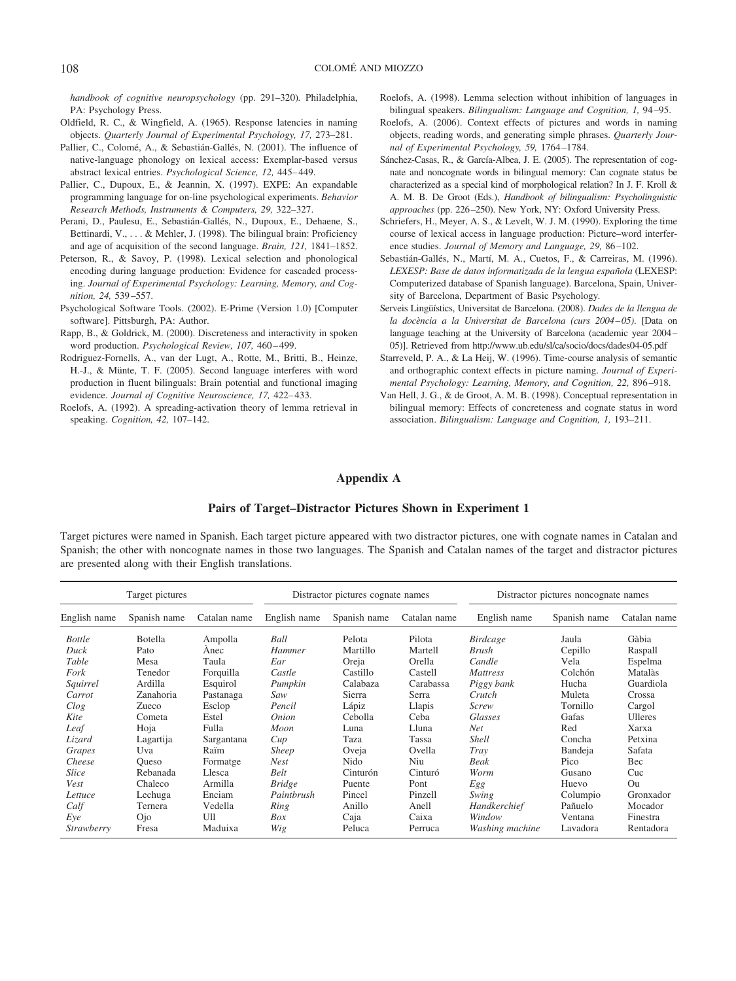*handbook of cognitive neuropsychology* (pp. 291–320)*.* Philadelphia, PA: Psychology Press.

- Oldfield, R. C., & Wingfield, A. (1965). Response latencies in naming objects. *Quarterly Journal of Experimental Psychology, 17,* 273–281.
- Pallier, C., Colomé, A., & Sebastián-Gallés, N. (2001). The influence of native-language phonology on lexical access: Exemplar-based versus abstract lexical entries. *Psychological Science, 12,* 445–449.
- Pallier, C., Dupoux, E., & Jeannin, X. (1997). EXPE: An expandable programming language for on-line psychological experiments. *Behavior Research Methods, Instruments & Computers, 29,* 322–327.
- Perani, D., Paulesu, E., Sebastián-Gallés, N., Dupoux, E., Dehaene, S., Bettinardi, V., . . . & Mehler, J. (1998). The bilingual brain: Proficiency and age of acquisition of the second language. *Brain, 121,* 1841–1852.
- Peterson, R., & Savoy, P. (1998). Lexical selection and phonological encoding during language production: Evidence for cascaded processing. *Journal of Experimental Psychology: Learning, Memory, and Cognition, 24,* 539–557.
- Psychological Software Tools. (2002). E-Prime (Version 1.0) [Computer software]. Pittsburgh, PA: Author.
- Rapp, B., & Goldrick, M. (2000). Discreteness and interactivity in spoken word production. *Psychological Review, 107,* 460–499.
- Rodriguez-Fornells, A., van der Lugt, A., Rotte, M., Britti, B., Heinze, H.-J., & Münte, T. F. (2005). Second language interferes with word production in fluent bilinguals: Brain potential and functional imaging evidence. *Journal of Cognitive Neuroscience, 17,* 422–433.
- Roelofs, A. (1992). A spreading-activation theory of lemma retrieval in speaking. *Cognition, 42,* 107–142.
- Roelofs, A. (1998). Lemma selection without inhibition of languages in bilingual speakers. *Bilingualism: Language and Cognition, 1,* 94–95.
- Roelofs, A. (2006). Context effects of pictures and words in naming objects, reading words, and generating simple phrases. *Quarterly Journal of Experimental Psychology, 59,* 1764–1784.
- Sánchez-Casas, R., & García-Albea, J. E. (2005). The representation of cognate and noncognate words in bilingual memory: Can cognate status be characterized as a special kind of morphological relation? In J. F. Kroll & A. M. B. De Groot (Eds.), *Handbook of bilingualism: Psycholinguistic approaches* (pp. 226–250). New York, NY: Oxford University Press.
- Schriefers, H., Meyer, A. S., & Levelt, W. J. M. (1990). Exploring the time course of lexical access in language production: Picture–word interference studies. *Journal of Memory and Language, 29,* 86–102.
- Sebastián-Gallés, N., Martí, M. A., Cuetos, F., & Carreiras, M. (1996). *LEXESP: Base de datos informatizada de la lengua espan˜ola* (LEXESP: Computerized database of Spanish language). Barcelona, Spain, University of Barcelona, Department of Basic Psychology*.*
- Serveis Lingüístics, Universitat de Barcelona. (2008). *Dades de la llengua de la doce`ncia a la Universitat de Barcelona (curs 2004 – 05)*. [Data on language teaching at the University of Barcelona (academic year 2004– 05)]. Retrieved from http://www.ub.edu/sl/ca/socio/docs/dades04-05.pdf
- Starreveld, P. A., & La Heij, W. (1996). Time-course analysis of semantic and orthographic context effects in picture naming. *Journal of Experimental Psychology: Learning, Memory, and Cognition, 22,* 896–918.
- Van Hell, J. G., & de Groot, A. M. B. (1998). Conceptual representation in bilingual memory: Effects of concreteness and cognate status in word association. *Bilingualism: Language and Cognition, 1,* 193–211.

## **Appendix A**

#### **Pairs of Target–Distractor Pictures Shown in Experiment 1**

Target pictures were named in Spanish. Each target picture appeared with two distractor pictures, one with cognate names in Catalan and Spanish; the other with noncognate names in those two languages. The Spanish and Catalan names of the target and distractor pictures are presented along with their English translations.

| Target pictures   |                |              | Distractor pictures cognate names |              |              | Distractor pictures noncognate names |                |              |
|-------------------|----------------|--------------|-----------------------------------|--------------|--------------|--------------------------------------|----------------|--------------|
| English name      | Spanish name   | Catalan name | English name                      | Spanish name | Catalan name | English name                         | Spanish name   | Catalan name |
| <b>Bottle</b>     | <b>Botella</b> | Ampolla      | Ball                              | Pelota       | Pilota       | Birdcage                             | Jaula          | Gàbia        |
| Duck              | Pato           | Anec         | Hammer                            | Martillo     | Martell      | <i>Brush</i>                         | Cepillo        | Raspall      |
| Table             | Mesa           | Taula        | Ear                               | Oreja        | Orella       | Candle                               | Vela           | Espelma      |
| Fork              | Tenedor        | Forquilla    | Castle                            | Castillo     | Castell      | <b>Mattress</b>                      | Colchón        | Matalàs      |
| Squirrel          | Ardilla        | Esquirol     | Pumpkin                           | Calabaza     | Carabassa    | Piggy bank                           | Hucha          | Guardiola    |
| Carrot            | Zanahoria      | Pastanaga    | Saw                               | Sierra       | Serra        | Crutch                               | Muleta         | Crossa       |
| Clog              | Zueco          | Esclop       | Pencil                            | Lápiz        | Llapis       | Screw                                | Tornillo       | Cargol       |
| Kite              | Cometa         | Estel        | <i>Onion</i>                      | Cebolla      | Ceba         | Glasses                              | Gafas          | Ulleres      |
| Leaf              | Hoja           | Fulla        | Moon                              | Luna         | Lluna        | Net                                  | Red            | Xarxa        |
| Lizard            | Lagartija      | Sargantana   | Cup                               | Taza         | Tassa        | <b>Shell</b>                         | Concha         | Petxina      |
| Grapes            | Uva            | Raïm         | <b>Sheep</b>                      | Oveja        | Ovella       | Tray                                 | <b>Bandeja</b> | Safata       |
| Cheese            | Oueso          | Formatge     | <b>Nest</b>                       | Nido         | Niu          | Beak                                 | Pico           | Bec          |
| <i>Slice</i>      | Rebanada       | Llesca       | Belt                              | Cinturón     | Cinturó      | Worm                                 | Gusano         | Cuc          |
| Vest              | Chaleco        | Armilla      | <b>Bridge</b>                     | Puente       | Pont         | Egg                                  | Huevo          | Ou           |
| Lettuce           | Lechuga        | Enciam       | Paintbrush                        | Pincel       | Pinzell      | Swing                                | Columpio       | Gronxador    |
| Calf              | Ternera        | Vedella      | Ring                              | Anillo       | Anell        | <b>Handkerchief</b>                  | Pañuelo        | Mocador      |
| Eye               | Ojo            | UII          | Box                               | Caja         | Caixa        | Window                               | Ventana        | Finestra     |
| <i>Strawberry</i> | Fresa          | Maduixa      | Wig                               | Peluca       | Perruca      | Washing machine                      | Lavadora       | Rentadora    |